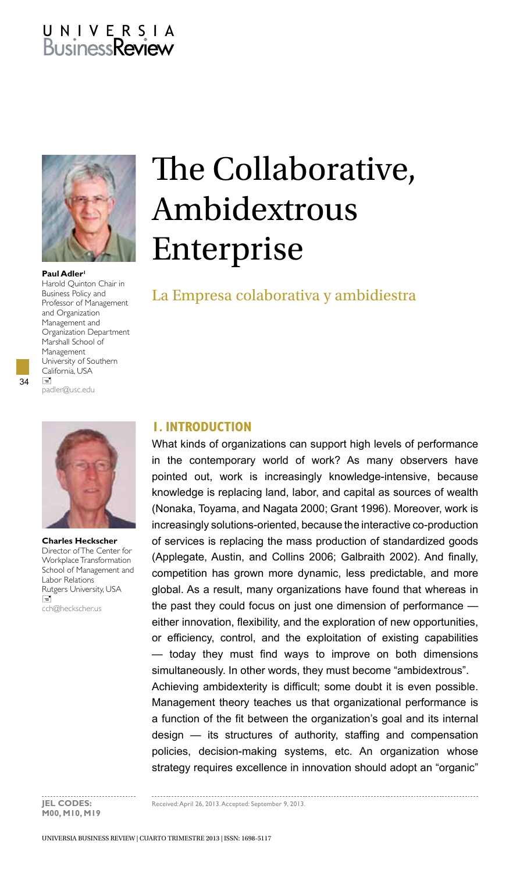# U N I V E R S I A<br>Business**Review**



Paul Adler<sup>1</sup> Harold Quinton Chair in Business Policy and Professor of Management and Organization Management and Organization Department Marshall School of Management University of Southern California, USA  $\Box$ padler@usc.edu

34



**Charles Heckscher**  Director of The Center for Workplace Transformation School of Management and Labor Relations Rutgers University, USA  $\overline{a}$ cch@heckscher.us

# The Collaborative, Ambidextrous Enterprise

# La Empresa colaborativa y ambidiestra

## **1. INTRODUCTION**

What kinds of organizations can support high levels of performance in the contemporary world of work? As many observers have pointed out, work is increasingly knowledge-intensive, because knowledge is replacing land, labor, and capital as sources of wealth (Nonaka, Toyama, and Nagata 2000; Grant 1996). Moreover, work is increasingly solutions-oriented, because the interactive co-production of services is replacing the mass production of standardized goods (Applegate, Austin, and Collins 2006; Galbraith 2002). And finally, competition has grown more dynamic, less predictable, and more global. As a result, many organizations have found that whereas in the past they could focus on just one dimension of performance either innovation, flexibility, and the exploration of new opportunities, or efficiency, control, and the exploitation of existing capabilities — today they must find ways to improve on both dimensions simultaneously. In other words, they must become "ambidextrous". Achieving ambidexterity is difficult; some doubt it is even possible. Management theory teaches us that organizational performance is a function of the fit between the organization's goal and its internal design — its structures of authority, staffing and compensation policies, decision-making systems, etc. An organization whose strategy requires excellence in innovation should adopt an "organic"

. . . . . . . . . . . . . . **M00, M10, M19**

**JEL CODES:** Received: April 26, 2013. Accepted: September 9, 2013.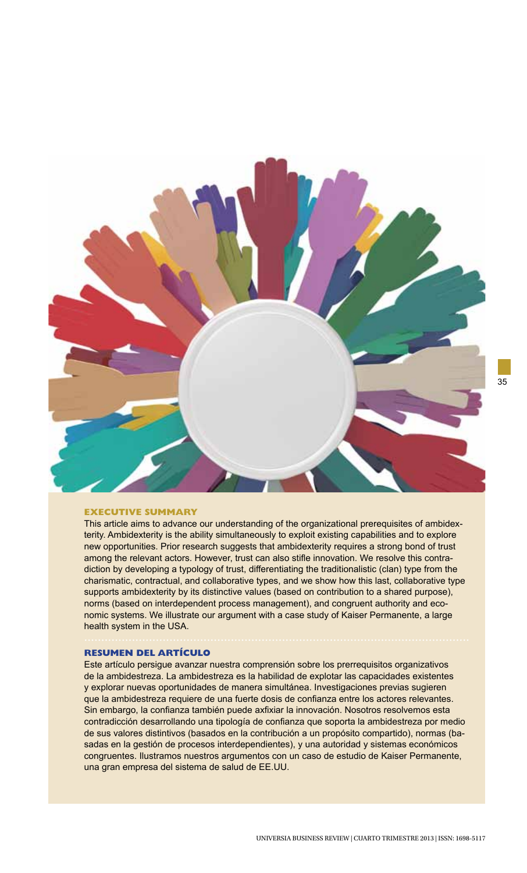

#### **executive summary**

This article aims to advance our understanding of the organizational prerequisites of ambidexterity. Ambidexterity is the ability simultaneously to exploit existing capabilities and to explore new opportunities. Prior research suggests that ambidexterity requires a strong bond of trust among the relevant actors. However, trust can also stifle innovation. We resolve this contradiction by developing a typology of trust, differentiating the traditionalistic (clan) type from the charismatic, contractual, and collaborative types, and we show how this last, collaborative type supports ambidexterity by its distinctive values (based on contribution to a shared purpose), norms (based on interdependent process management), and congruent authority and economic systems. We illustrate our argument with a case study of Kaiser Permanente, a large health system in the USA.

#### **RESUMEN del artículo**

Este artículo persigue avanzar nuestra comprensión sobre los prerrequisitos organizativos de la ambidestreza. La ambidestreza es la habilidad de explotar las capacidades existentes y explorar nuevas oportunidades de manera simultánea. Investigaciones previas sugieren que la ambidestreza requiere de una fuerte dosis de confianza entre los actores relevantes. Sin embargo, la confianza también puede axfixiar la innovación. Nosotros resolvemos esta contradicción desarrollando una tipología de confianza que soporta la ambidestreza por medio de sus valores distintivos (basados en la contribución a un propósito compartido), normas (basadas en la gestión de procesos interdependientes), y una autoridad y sistemas económicos congruentes. Ilustramos nuestros argumentos con un caso de estudio de Kaiser Permanente, una gran empresa del sistema de salud de EE.UU.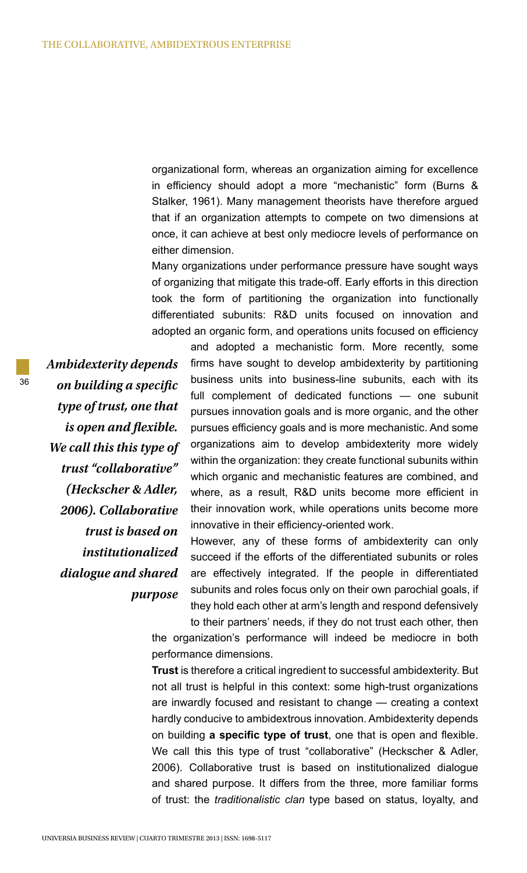organizational form, whereas an organization aiming for excellence in efficiency should adopt a more "mechanistic" form (Burns & Stalker, 1961). Many management theorists have therefore argued that if an organization attempts to compete on two dimensions at once, it can achieve at best only mediocre levels of performance on either dimension.

Many organizations under performance pressure have sought ways of organizing that mitigate this trade-off. Early efforts in this direction took the form of partitioning the organization into functionally differentiated subunits: R&D units focused on innovation and adopted an organic form, and operations units focused on efficiency

*Ambidexterity depends on building a specific type of trust, one that is open and flexible. We call this this type of trust "collaborative" (Heckscher & Adler, 2006). Collaborative trust is based on institutionalized dialogue and shared purpose*

36

and adopted a mechanistic form. More recently, some firms have sought to develop ambidexterity by partitioning business units into business-line subunits, each with its full complement of dedicated functions — one subunit pursues innovation goals and is more organic, and the other pursues efficiency goals and is more mechanistic. And some organizations aim to develop ambidexterity more widely within the organization: they create functional subunits within which organic and mechanistic features are combined, and where, as a result, R&D units become more efficient in their innovation work, while operations units become more innovative in their efficiency-oriented work.

However, any of these forms of ambidexterity can only succeed if the efforts of the differentiated subunits or roles are effectively integrated. If the people in differentiated subunits and roles focus only on their own parochial goals, if they hold each other at arm's length and respond defensively

to their partners' needs, if they do not trust each other, then the organization's performance will indeed be mediocre in both performance dimensions.

**Trust** is therefore a critical ingredient to successful ambidexterity. But not all trust is helpful in this context: some high-trust organizations are inwardly focused and resistant to change — creating a context hardly conducive to ambidextrous innovation. Ambidexterity depends on building **a specific type of trust**, one that is open and flexible. We call this this type of trust "collaborative" (Heckscher & Adler, 2006). Collaborative trust is based on institutionalized dialogue and shared purpose. It differs from the three, more familiar forms of trust: the *traditionalistic clan* type based on status, loyalty, and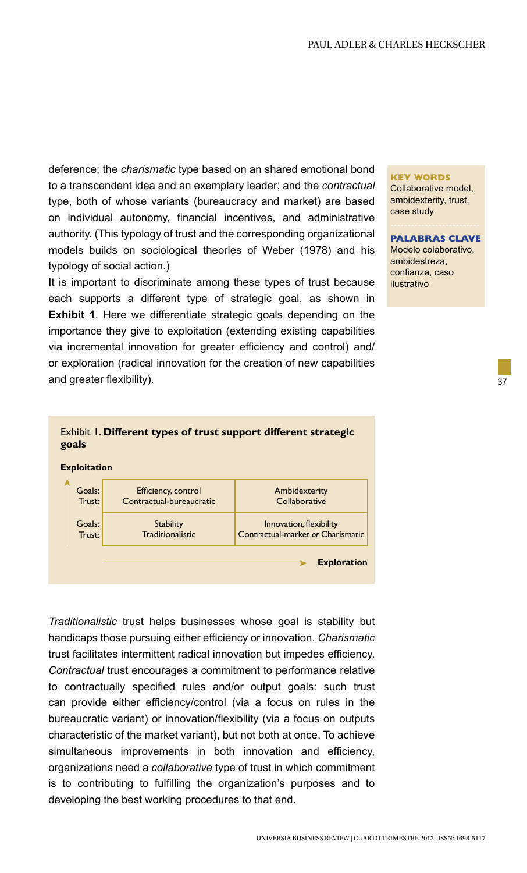deference; the *charismatic* type based on an shared emotional bond to a transcendent idea and an exemplary leader; and the *contractual* type, both of whose variants (bureaucracy and market) are based on individual autonomy, financial incentives, and administrative authority. (This typology of trust and the corresponding organizational models builds on sociological theories of Weber (1978) and his typology of social action.)

It is important to discriminate among these types of trust because each supports a different type of strategic goal, as shown in **Exhibit 1**. Here we differentiate strategic goals depending on the importance they give to exploitation (extending existing capabilities via incremental innovation for greater efficiency and control) and/ or exploration (radical innovation for the creation of new capabilities and greater flexibility).

#### **Key Words**

Collaborative model, ambidexterity, trust, case study

**Palabras Clave** Modelo colaborativo, ambidestreza, confianza, caso ilustrativo

37

## Exhibit 1. **Different types of trust support different strategic goals**



*Traditionalistic* trust helps businesses whose goal is stability but handicaps those pursuing either efficiency or innovation. *Charismatic* trust facilitates intermittent radical innovation but impedes efficiency. *Contractual* trust encourages a commitment to performance relative to contractually specified rules and/or output goals: such trust can provide either efficiency/control (via a focus on rules in the bureaucratic variant) or innovation/flexibility (via a focus on outputs characteristic of the market variant), but not both at once. To achieve simultaneous improvements in both innovation and efficiency, organizations need a *collaborative* type of trust in which commitment is to contributing to fulfilling the organization's purposes and to developing the best working procedures to that end.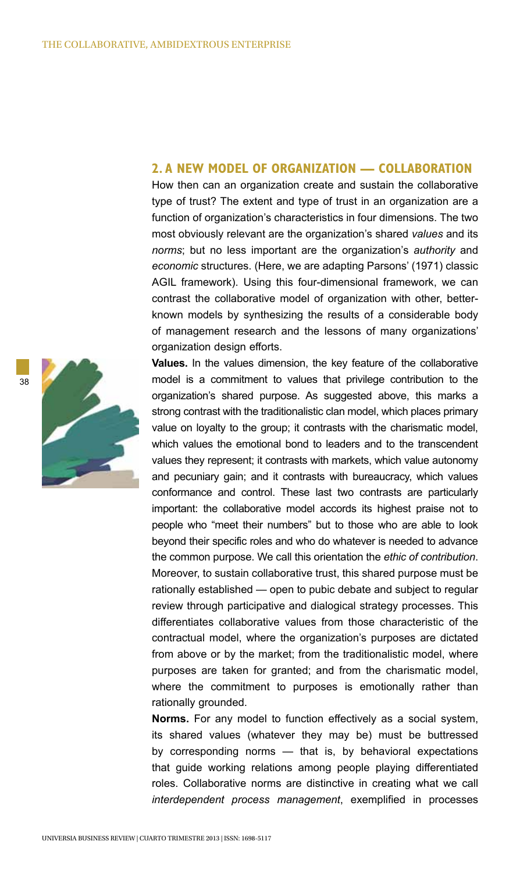## **2. A NEW MODEL OF ORGANIZATION — COLLABORATION**

How then can an organization create and sustain the collaborative type of trust? The extent and type of trust in an organization are a function of organization's characteristics in four dimensions. The two most obviously relevant are the organization's shared *values* and its *norms*; but no less important are the organization's *authority* and *economic* structures. (Here, we are adapting Parsons' (1971) classic AGIL framework). Using this four-dimensional framework, we can contrast the collaborative model of organization with other, betterknown models by synthesizing the results of a considerable body of management research and the lessons of many organizations' organization design efforts.

**Values.** In the values dimension, the key feature of the collaborative model is a commitment to values that privilege contribution to the organization's shared purpose. As suggested above, this marks a strong contrast with the traditionalistic clan model, which places primary value on loyalty to the group; it contrasts with the charismatic model, which values the emotional bond to leaders and to the transcendent values they represent; it contrasts with markets, which value autonomy and pecuniary gain; and it contrasts with bureaucracy, which values conformance and control. These last two contrasts are particularly important: the collaborative model accords its highest praise not to people who "meet their numbers" but to those who are able to look beyond their specific roles and who do whatever is needed to advance the common purpose. We call this orientation the *ethic of contribution*. Moreover, to sustain collaborative trust, this shared purpose must be rationally established — open to pubic debate and subject to regular review through participative and dialogical strategy processes. This differentiates collaborative values from those characteristic of the contractual model, where the organization's purposes are dictated from above or by the market; from the traditionalistic model, where purposes are taken for granted; and from the charismatic model, where the commitment to purposes is emotionally rather than rationally grounded.

**Norms.** For any model to function effectively as a social system, its shared values (whatever they may be) must be buttressed by corresponding norms — that is, by behavioral expectations that guide working relations among people playing differentiated roles. Collaborative norms are distinctive in creating what we call *interdependent process management*, exemplified in processes

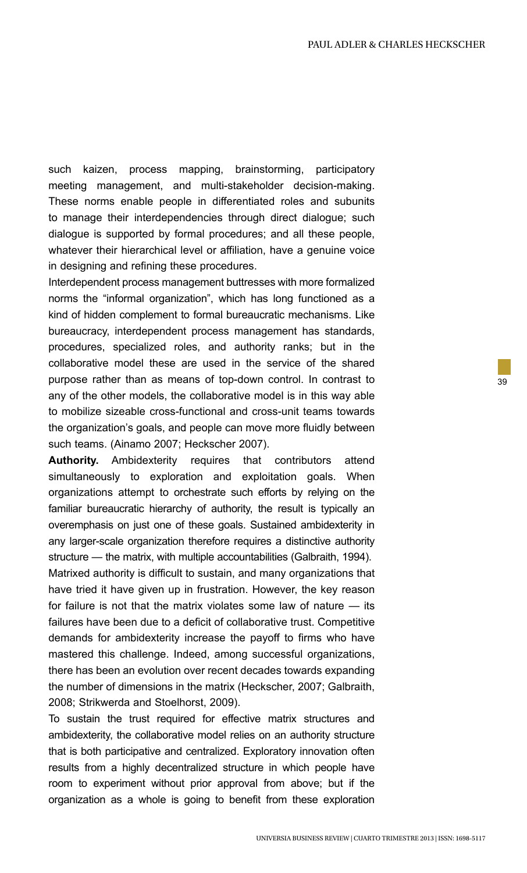such kaizen, process mapping, brainstorming, participatory meeting management, and multi-stakeholder decision-making. These norms enable people in differentiated roles and subunits to manage their interdependencies through direct dialogue; such dialogue is supported by formal procedures; and all these people, whatever their hierarchical level or affiliation, have a genuine voice in designing and refining these procedures.

Interdependent process management buttresses with more formalized norms the "informal organization", which has long functioned as a kind of hidden complement to formal bureaucratic mechanisms. Like bureaucracy, interdependent process management has standards, procedures, specialized roles, and authority ranks; but in the collaborative model these are used in the service of the shared purpose rather than as means of top-down control. In contrast to any of the other models, the collaborative model is in this way able to mobilize sizeable cross-functional and cross-unit teams towards the organization's goals, and people can move more fluidly between such teams. (Ainamo 2007; Heckscher 2007).

**Authority.** Ambidexterity requires that contributors attend simultaneously to exploration and exploitation goals. When organizations attempt to orchestrate such efforts by relying on the familiar bureaucratic hierarchy of authority, the result is typically an overemphasis on just one of these goals. Sustained ambidexterity in any larger-scale organization therefore requires a distinctive authority structure — the matrix, with multiple accountabilities (Galbraith, 1994).

Matrixed authority is difficult to sustain, and many organizations that have tried it have given up in frustration. However, the key reason for failure is not that the matrix violates some law of nature — its failures have been due to a deficit of collaborative trust. Competitive demands for ambidexterity increase the payoff to firms who have mastered this challenge. Indeed, among successful organizations, there has been an evolution over recent decades towards expanding the number of dimensions in the matrix (Heckscher, 2007; Galbraith, 2008; Strikwerda and Stoelhorst, 2009).

To sustain the trust required for effective matrix structures and ambidexterity, the collaborative model relies on an authority structure that is both participative and centralized. Exploratory innovation often results from a highly decentralized structure in which people have room to experiment without prior approval from above; but if the organization as a whole is going to benefit from these exploration 39

UNIVERSIA BUSINESS REVIEW | CUARTO trimestre 2013 | ISSN: 1698-5117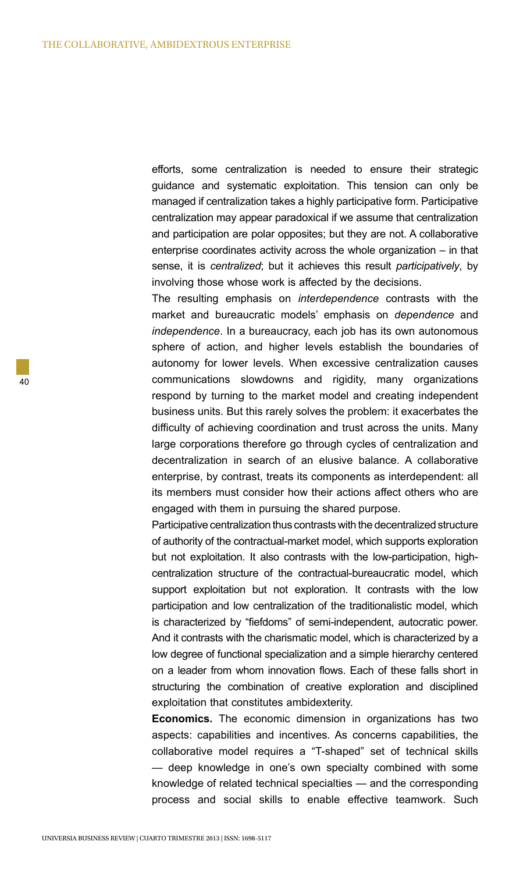efforts, some centralization is needed to ensure their strategic guidance and systematic exploitation. This tension can only be managed if centralization takes a highly participative form. Participative centralization may appear paradoxical if we assume that centralization and participation are polar opposites; but they are not. A collaborative enterprise coordinates activity across the whole organization – in that sense, it is *centralized*; but it achieves this result *participatively*, by involving those whose work is affected by the decisions.

The resulting emphasis on *interdependence* contrasts with the market and bureaucratic models' emphasis on *dependence* and *independence*. In a bureaucracy, each job has its own autonomous sphere of action, and higher levels establish the boundaries of autonomy for lower levels. When excessive centralization causes communications slowdowns and rigidity, many organizations respond by turning to the market model and creating independent business units. But this rarely solves the problem: it exacerbates the difficulty of achieving coordination and trust across the units. Many large corporations therefore go through cycles of centralization and decentralization in search of an elusive balance. A collaborative enterprise, by contrast, treats its components as interdependent: all its members must consider how their actions affect others who are engaged with them in pursuing the shared purpose.

Participative centralization thus contrasts with the decentralized structure of authority of the contractual-market model, which supports exploration but not exploitation. It also contrasts with the low-participation, highcentralization structure of the contractual-bureaucratic model, which support exploitation but not exploration. It contrasts with the low participation and low centralization of the traditionalistic model, which is characterized by "fiefdoms" of semi-independent, autocratic power. And it contrasts with the charismatic model, which is characterized by a low degree of functional specialization and a simple hierarchy centered on a leader from whom innovation flows. Each of these falls short in structuring the combination of creative exploration and disciplined exploitation that constitutes ambidexterity.

**Economics.** The economic dimension in organizations has two aspects: capabilities and incentives. As concerns capabilities, the collaborative model requires a "T-shaped" set of technical skills — deep knowledge in one's own specialty combined with some knowledge of related technical specialties — and the corresponding process and social skills to enable effective teamwork. Such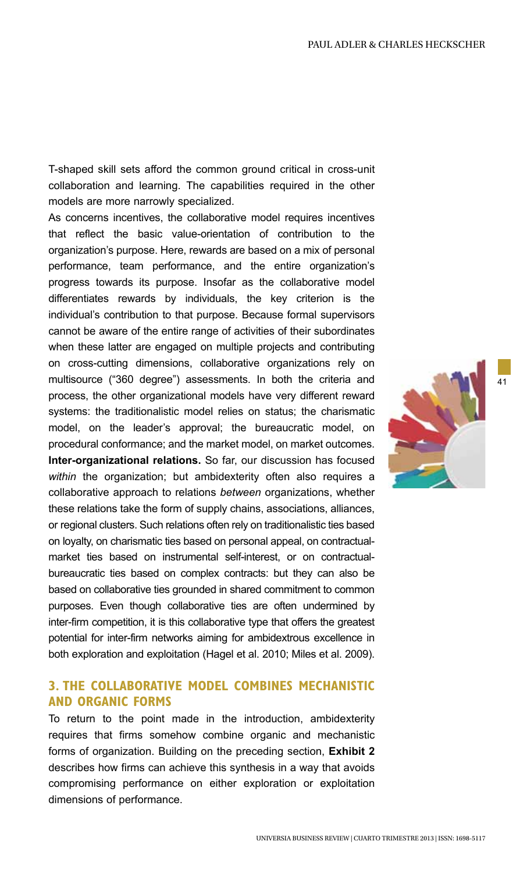T-shaped skill sets afford the common ground critical in cross-unit collaboration and learning. The capabilities required in the other models are more narrowly specialized.

As concerns incentives, the collaborative model requires incentives that reflect the basic value-orientation of contribution to the organization's purpose. Here, rewards are based on a mix of personal performance, team performance, and the entire organization's progress towards its purpose. Insofar as the collaborative model differentiates rewards by individuals, the key criterion is the individual's contribution to that purpose. Because formal supervisors cannot be aware of the entire range of activities of their subordinates when these latter are engaged on multiple projects and contributing on cross-cutting dimensions, collaborative organizations rely on multisource ("360 degree") assessments. In both the criteria and process, the other organizational models have very different reward systems: the traditionalistic model relies on status; the charismatic model, on the leader's approval; the bureaucratic model, on procedural conformance; and the market model, on market outcomes. **Inter-organizational relations.** So far, our discussion has focused *within* the organization; but ambidexterity often also requires a collaborative approach to relations *between* organizations, whether these relations take the form of supply chains, associations, alliances, or regional clusters. Such relations often rely on traditionalistic ties based on loyalty, on charismatic ties based on personal appeal, on contractualmarket ties based on instrumental self-interest, or on contractualbureaucratic ties based on complex contracts: but they can also be based on collaborative ties grounded in shared commitment to common purposes. Even though collaborative ties are often undermined by inter-firm competition, it is this collaborative type that offers the greatest potential for inter-firm networks aiming for ambidextrous excellence in both exploration and exploitation (Hagel et al. 2010; Miles et al. 2009).

## **3. THE COLLABORATIVE MODEL COMBINES MECHANISTIC AND ORGANIC FORMS**

To return to the point made in the introduction, ambidexterity requires that firms somehow combine organic and mechanistic forms of organization. Building on the preceding section, **Exhibit 2** describes how firms can achieve this synthesis in a way that avoids compromising performance on either exploration or exploitation dimensions of performance.



41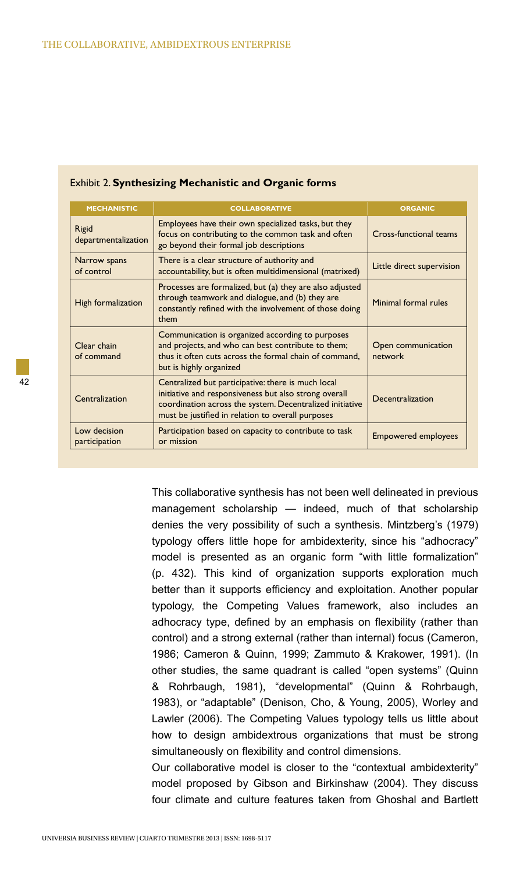| <b>MECHANISTIC</b>            | <b>COLLABORATIVE</b>                                                                                                                                                                                                         | <b>ORGANIC</b>                |
|-------------------------------|------------------------------------------------------------------------------------------------------------------------------------------------------------------------------------------------------------------------------|-------------------------------|
| Rigid<br>departmentalization  | Employees have their own specialized tasks, but they<br>focus on contributing to the common task and often<br>go beyond their formal job descriptions                                                                        | Cross-functional teams        |
| Narrow spans<br>of control    | There is a clear structure of authority and<br>accountability, but is often multidimensional (matrixed)                                                                                                                      | Little direct supervision     |
| High formalization            | Processes are formalized, but (a) they are also adjusted<br>through teamwork and dialogue, and (b) they are<br>constantly refined with the involvement of those doing<br>them                                                | Minimal formal rules          |
| Clear chain<br>of command     | Communication is organized according to purposes<br>and projects, and who can best contribute to them;<br>thus it often cuts across the formal chain of command,<br>but is highly organized                                  | Open communication<br>network |
| Centralization                | Centralized but participative: there is much local<br>initiative and responsiveness but also strong overall<br>coordination across the system. Decentralized initiative<br>must be justified in relation to overall purposes | Decentralization              |
| Low decision<br>participation | Participation based on capacity to contribute to task<br>or mission                                                                                                                                                          | <b>Empowered employees</b>    |

### Exhibit 2. **Synthesizing Mechanistic and Organic forms**

This collaborative synthesis has not been well delineated in previous management scholarship — indeed, much of that scholarship denies the very possibility of such a synthesis. Mintzberg's (1979) typology offers little hope for ambidexterity, since his "adhocracy" model is presented as an organic form "with little formalization" (p. 432). This kind of organization supports exploration much better than it supports efficiency and exploitation. Another popular typology, the Competing Values framework, also includes an adhocracy type, defined by an emphasis on flexibility (rather than control) and a strong external (rather than internal) focus (Cameron, 1986; Cameron & Quinn, 1999; Zammuto & Krakower, 1991). (In other studies, the same quadrant is called "open systems" (Quinn & Rohrbaugh, 1981), "developmental" (Quinn & Rohrbaugh, 1983), or "adaptable" (Denison, Cho, & Young, 2005), Worley and Lawler (2006). The Competing Values typology tells us little about how to design ambidextrous organizations that must be strong simultaneously on flexibility and control dimensions.

Our collaborative model is closer to the "contextual ambidexterity" model proposed by Gibson and Birkinshaw (2004). They discuss four climate and culture features taken from Ghoshal and Bartlett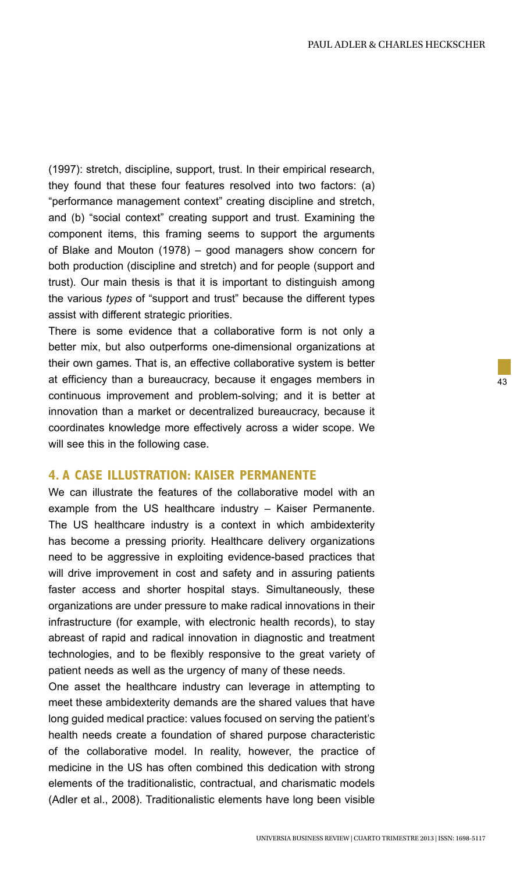(1997): stretch, discipline, support, trust. In their empirical research, they found that these four features resolved into two factors: (a) "performance management context" creating discipline and stretch, and (b) "social context" creating support and trust. Examining the component items, this framing seems to support the arguments of Blake and Mouton (1978) – good managers show concern for both production (discipline and stretch) and for people (support and trust). Our main thesis is that it is important to distinguish among the various *types* of "support and trust" because the different types assist with different strategic priorities.

There is some evidence that a collaborative form is not only a better mix, but also outperforms one-dimensional organizations at their own games. That is, an effective collaborative system is better at efficiency than a bureaucracy, because it engages members in continuous improvement and problem-solving; and it is better at innovation than a market or decentralized bureaucracy, because it coordinates knowledge more effectively across a wider scope. We will see this in the following case.

## **4. A CASE ILLUSTRATION: KAISER PERMANENTE**

We can illustrate the features of the collaborative model with an example from the US healthcare industry – Kaiser Permanente. The US healthcare industry is a context in which ambidexterity has become a pressing priority. Healthcare delivery organizations need to be aggressive in exploiting evidence-based practices that will drive improvement in cost and safety and in assuring patients faster access and shorter hospital stays. Simultaneously, these organizations are under pressure to make radical innovations in their infrastructure (for example, with electronic health records), to stay abreast of rapid and radical innovation in diagnostic and treatment technologies, and to be flexibly responsive to the great variety of patient needs as well as the urgency of many of these needs.

One asset the healthcare industry can leverage in attempting to meet these ambidexterity demands are the shared values that have long guided medical practice: values focused on serving the patient's health needs create a foundation of shared purpose characteristic of the collaborative model. In reality, however, the practice of medicine in the US has often combined this dedication with strong elements of the traditionalistic, contractual, and charismatic models (Adler et al., 2008). Traditionalistic elements have long been visible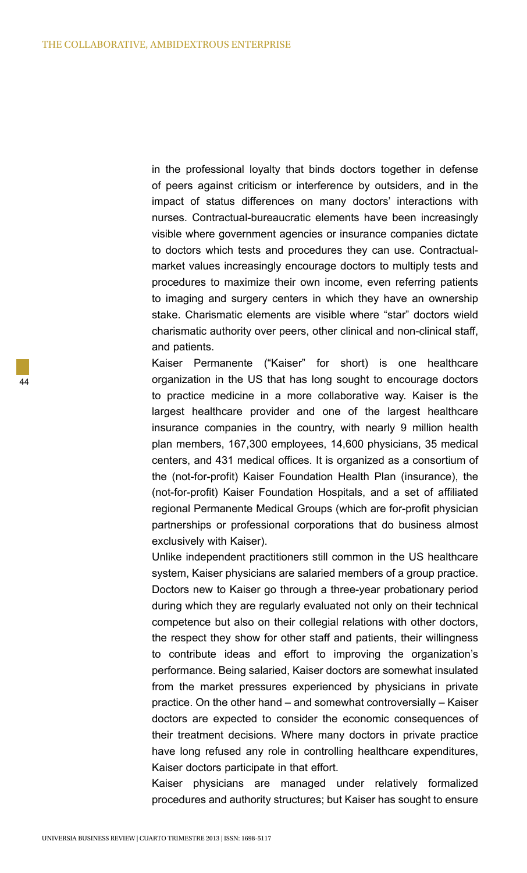in the professional loyalty that binds doctors together in defense of peers against criticism or interference by outsiders, and in the impact of status differences on many doctors' interactions with nurses. Contractual-bureaucratic elements have been increasingly visible where government agencies or insurance companies dictate to doctors which tests and procedures they can use. Contractualmarket values increasingly encourage doctors to multiply tests and procedures to maximize their own income, even referring patients to imaging and surgery centers in which they have an ownership stake. Charismatic elements are visible where "star" doctors wield charismatic authority over peers, other clinical and non-clinical staff, and patients.

Kaiser Permanente ("Kaiser" for short) is one healthcare organization in the US that has long sought to encourage doctors to practice medicine in a more collaborative way. Kaiser is the largest healthcare provider and one of the largest healthcare insurance companies in the country, with nearly 9 million health plan members, 167,300 employees, 14,600 physicians, 35 medical centers, and 431 medical offices. It is organized as a consortium of the (not-for-profit) Kaiser Foundation Health Plan (insurance), the (not-for-profit) Kaiser Foundation Hospitals, and a set of affiliated regional Permanente Medical Groups (which are for-profit physician partnerships or professional corporations that do business almost exclusively with Kaiser).

Unlike independent practitioners still common in the US healthcare system, Kaiser physicians are salaried members of a group practice. Doctors new to Kaiser go through a three-year probationary period during which they are regularly evaluated not only on their technical competence but also on their collegial relations with other doctors, the respect they show for other staff and patients, their willingness to contribute ideas and effort to improving the organization's performance. Being salaried, Kaiser doctors are somewhat insulated from the market pressures experienced by physicians in private practice. On the other hand – and somewhat controversially – Kaiser doctors are expected to consider the economic consequences of their treatment decisions. Where many doctors in private practice have long refused any role in controlling healthcare expenditures, Kaiser doctors participate in that effort.

Kaiser physicians are managed under relatively formalized procedures and authority structures; but Kaiser has sought to ensure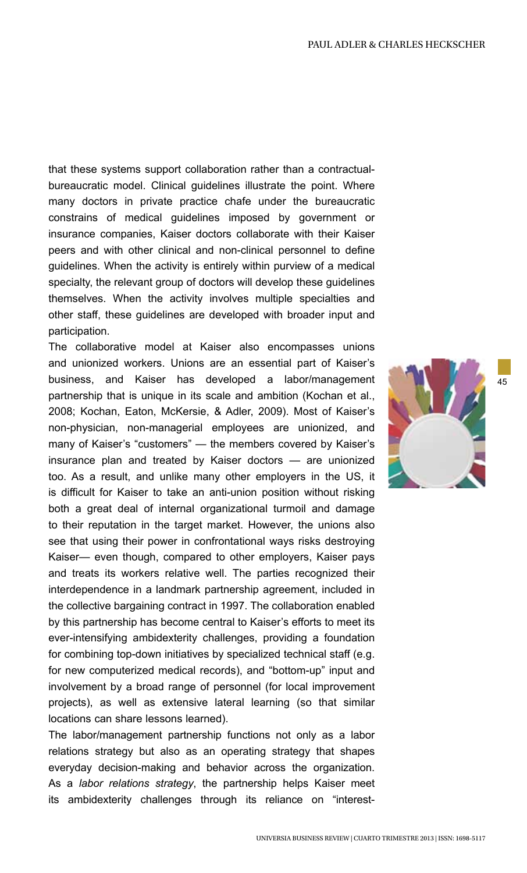that these systems support collaboration rather than a contractualbureaucratic model. Clinical guidelines illustrate the point. Where many doctors in private practice chafe under the bureaucratic constrains of medical guidelines imposed by government or insurance companies, Kaiser doctors collaborate with their Kaiser peers and with other clinical and non-clinical personnel to define guidelines. When the activity is entirely within purview of a medical specialty, the relevant group of doctors will develop these guidelines themselves. When the activity involves multiple specialties and other staff, these guidelines are developed with broader input and participation.

The collaborative model at Kaiser also encompasses unions and unionized workers. Unions are an essential part of Kaiser's business, and Kaiser has developed a labor/management partnership that is unique in its scale and ambition (Kochan et al., 2008; Kochan, Eaton, McKersie, & Adler, 2009). Most of Kaiser's non-physician, non-managerial employees are unionized, and many of Kaiser's "customers" — the members covered by Kaiser's insurance plan and treated by Kaiser doctors — are unionized too. As a result, and unlike many other employers in the US, it is difficult for Kaiser to take an anti-union position without risking both a great deal of internal organizational turmoil and damage to their reputation in the target market. However, the unions also see that using their power in confrontational ways risks destroying Kaiser— even though, compared to other employers, Kaiser pays and treats its workers relative well. The parties recognized their interdependence in a landmark partnership agreement, included in the collective bargaining contract in 1997. The collaboration enabled by this partnership has become central to Kaiser's efforts to meet its ever-intensifying ambidexterity challenges, providing a foundation for combining top-down initiatives by specialized technical staff (e.g. for new computerized medical records), and "bottom-up" input and involvement by a broad range of personnel (for local improvement projects), as well as extensive lateral learning (so that similar locations can share lessons learned).

The labor/management partnership functions not only as a labor relations strategy but also as an operating strategy that shapes everyday decision-making and behavior across the organization. As a *labor relations strategy*, the partnership helps Kaiser meet its ambidexterity challenges through its reliance on "interest-

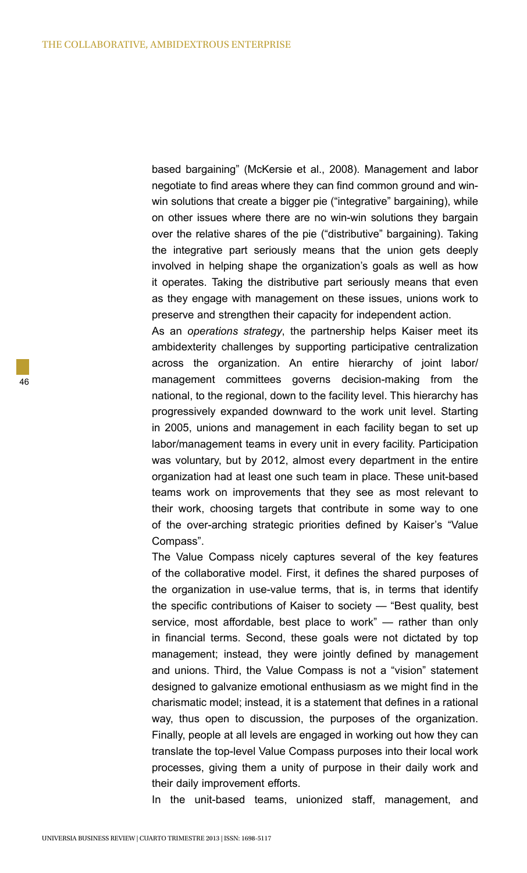based bargaining" (McKersie et al., 2008). Management and labor negotiate to find areas where they can find common ground and winwin solutions that create a bigger pie ("integrative" bargaining), while on other issues where there are no win-win solutions they bargain over the relative shares of the pie ("distributive" bargaining). Taking the integrative part seriously means that the union gets deeply involved in helping shape the organization's goals as well as how it operates. Taking the distributive part seriously means that even as they engage with management on these issues, unions work to preserve and strengthen their capacity for independent action.

As an *operations strategy*, the partnership helps Kaiser meet its ambidexterity challenges by supporting participative centralization across the organization. An entire hierarchy of joint labor/ management committees governs decision-making from the national, to the regional, down to the facility level. This hierarchy has progressively expanded downward to the work unit level. Starting in 2005, unions and management in each facility began to set up labor/management teams in every unit in every facility. Participation was voluntary, but by 2012, almost every department in the entire organization had at least one such team in place. These unit-based teams work on improvements that they see as most relevant to their work, choosing targets that contribute in some way to one of the over-arching strategic priorities defined by Kaiser's "Value Compass".

The Value Compass nicely captures several of the key features of the collaborative model. First, it defines the shared purposes of the organization in use-value terms, that is, in terms that identify the specific contributions of Kaiser to society — "Best quality, best service, most affordable, best place to work" — rather than only in financial terms. Second, these goals were not dictated by top management; instead, they were jointly defined by management and unions. Third, the Value Compass is not a "vision" statement designed to galvanize emotional enthusiasm as we might find in the charismatic model; instead, it is a statement that defines in a rational way, thus open to discussion, the purposes of the organization. Finally, people at all levels are engaged in working out how they can translate the top-level Value Compass purposes into their local work processes, giving them a unity of purpose in their daily work and their daily improvement efforts.

In the unit-based teams, unionized staff, management, and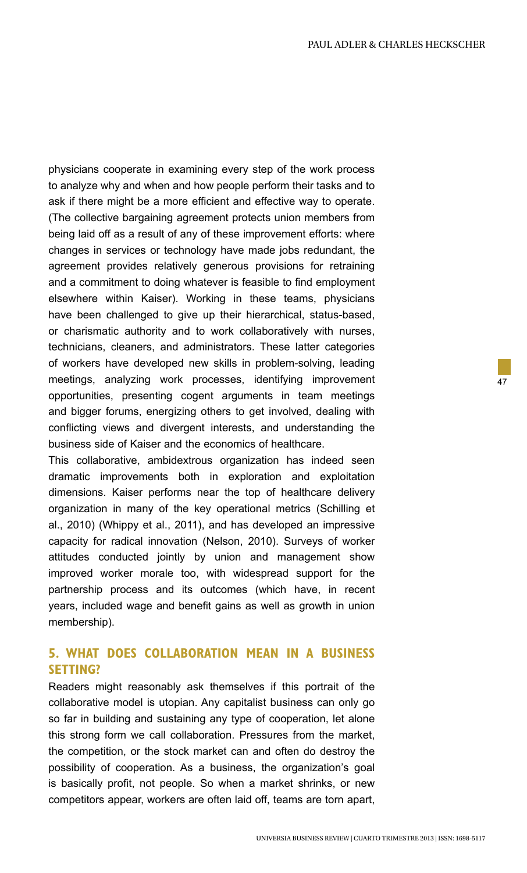physicians cooperate in examining every step of the work process to analyze why and when and how people perform their tasks and to ask if there might be a more efficient and effective way to operate. (The collective bargaining agreement protects union members from being laid off as a result of any of these improvement efforts: where changes in services or technology have made jobs redundant, the agreement provides relatively generous provisions for retraining and a commitment to doing whatever is feasible to find employment elsewhere within Kaiser). Working in these teams, physicians have been challenged to give up their hierarchical, status-based, or charismatic authority and to work collaboratively with nurses, technicians, cleaners, and administrators. These latter categories of workers have developed new skills in problem-solving, leading meetings, analyzing work processes, identifying improvement opportunities, presenting cogent arguments in team meetings and bigger forums, energizing others to get involved, dealing with conflicting views and divergent interests, and understanding the business side of Kaiser and the economics of healthcare.

This collaborative, ambidextrous organization has indeed seen dramatic improvements both in exploration and exploitation dimensions. Kaiser performs near the top of healthcare delivery organization in many of the key operational metrics (Schilling et al., 2010) (Whippy et al., 2011), and has developed an impressive capacity for radical innovation (Nelson, 2010). Surveys of worker attitudes conducted jointly by union and management show improved worker morale too, with widespread support for the partnership process and its outcomes (which have, in recent years, included wage and benefit gains as well as growth in union membership).

## **5. WHAT DOES COLLABORATION MEAN IN A BUSINESS SETTING?**

Readers might reasonably ask themselves if this portrait of the collaborative model is utopian. Any capitalist business can only go so far in building and sustaining any type of cooperation, let alone this strong form we call collaboration. Pressures from the market, the competition, or the stock market can and often do destroy the possibility of cooperation. As a business, the organization's goal is basically profit, not people. So when a market shrinks, or new competitors appear, workers are often laid off, teams are torn apart,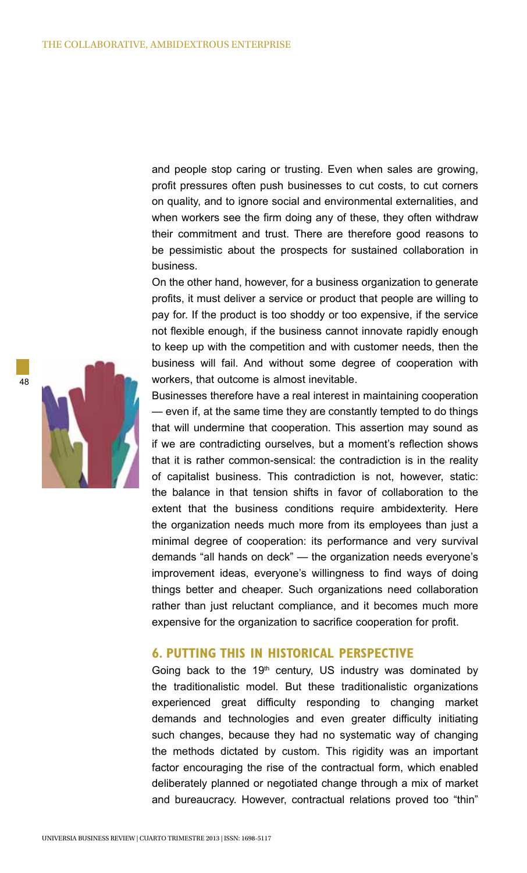and people stop caring or trusting. Even when sales are growing, profit pressures often push businesses to cut costs, to cut corners on quality, and to ignore social and environmental externalities, and when workers see the firm doing any of these, they often withdraw their commitment and trust. There are therefore good reasons to be pessimistic about the prospects for sustained collaboration in business.

On the other hand, however, for a business organization to generate profits, it must deliver a service or product that people are willing to pay for. If the product is too shoddy or too expensive, if the service not flexible enough, if the business cannot innovate rapidly enough to keep up with the competition and with customer needs, then the business will fail. And without some degree of cooperation with workers, that outcome is almost inevitable.

Businesses therefore have a real interest in maintaining cooperation — even if, at the same time they are constantly tempted to do things that will undermine that cooperation. This assertion may sound as if we are contradicting ourselves, but a moment's reflection shows that it is rather common-sensical: the contradiction is in the reality of capitalist business. This contradiction is not, however, static: the balance in that tension shifts in favor of collaboration to the extent that the business conditions require ambidexterity. Here the organization needs much more from its employees than just a minimal degree of cooperation: its performance and very survival demands "all hands on deck" — the organization needs everyone's improvement ideas, everyone's willingness to find ways of doing things better and cheaper. Such organizations need collaboration rather than just reluctant compliance, and it becomes much more expensive for the organization to sacrifice cooperation for profit.

### **6. PUTTING THIS IN HISTORICAL PERSPECTIVE**

Going back to the  $19<sup>th</sup>$  century, US industry was dominated by the traditionalistic model. But these traditionalistic organizations experienced great difficulty responding to changing market demands and technologies and even greater difficulty initiating such changes, because they had no systematic way of changing the methods dictated by custom. This rigidity was an important factor encouraging the rise of the contractual form, which enabled deliberately planned or negotiated change through a mix of market and bureaucracy. However, contractual relations proved too "thin"

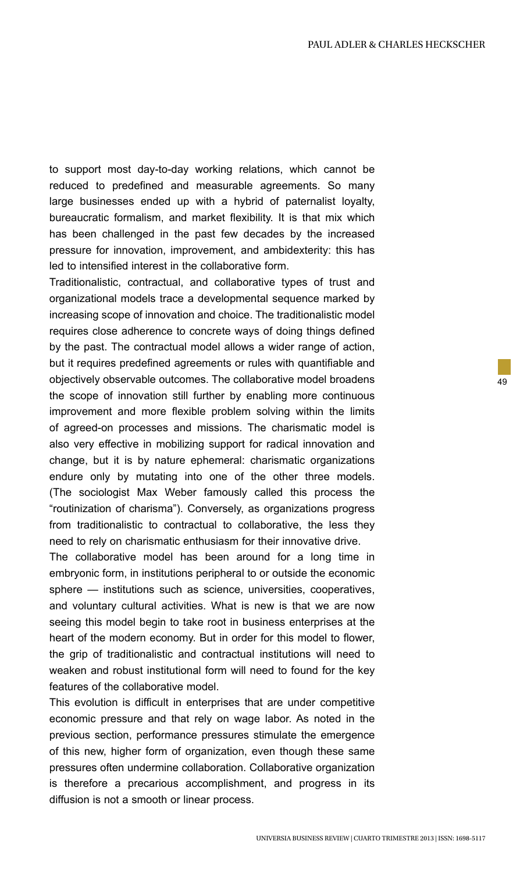to support most day-to-day working relations, which cannot be reduced to predefined and measurable agreements. So many large businesses ended up with a hybrid of paternalist loyalty, bureaucratic formalism, and market flexibility. It is that mix which has been challenged in the past few decades by the increased pressure for innovation, improvement, and ambidexterity: this has led to intensified interest in the collaborative form.

Traditionalistic, contractual, and collaborative types of trust and organizational models trace a developmental sequence marked by increasing scope of innovation and choice. The traditionalistic model requires close adherence to concrete ways of doing things defined by the past. The contractual model allows a wider range of action, but it requires predefined agreements or rules with quantifiable and objectively observable outcomes. The collaborative model broadens the scope of innovation still further by enabling more continuous improvement and more flexible problem solving within the limits of agreed-on processes and missions. The charismatic model is also very effective in mobilizing support for radical innovation and change, but it is by nature ephemeral: charismatic organizations endure only by mutating into one of the other three models. (The sociologist Max Weber famously called this process the "routinization of charisma"). Conversely, as organizations progress from traditionalistic to contractual to collaborative, the less they need to rely on charismatic enthusiasm for their innovative drive.

The collaborative model has been around for a long time in embryonic form, in institutions peripheral to or outside the economic sphere — institutions such as science, universities, cooperatives, and voluntary cultural activities. What is new is that we are now seeing this model begin to take root in business enterprises at the heart of the modern economy. But in order for this model to flower, the grip of traditionalistic and contractual institutions will need to weaken and robust institutional form will need to found for the key features of the collaborative model.

This evolution is difficult in enterprises that are under competitive economic pressure and that rely on wage labor. As noted in the previous section, performance pressures stimulate the emergence of this new, higher form of organization, even though these same pressures often undermine collaboration. Collaborative organization is therefore a precarious accomplishment, and progress in its diffusion is not a smooth or linear process.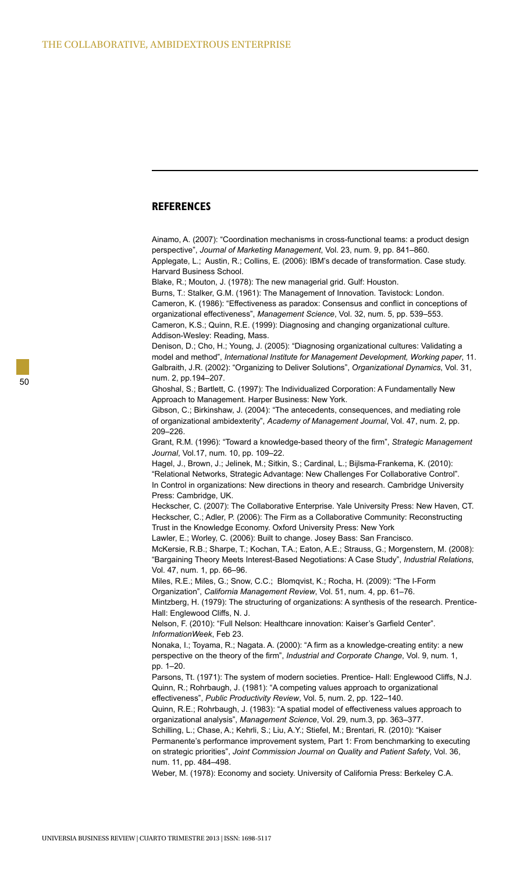### **REFERENCES**

Ainamo, A. (2007): "Coordination mechanisms in cross-functional teams: a product design perspective", *Journal of Marketing Management*, Vol. 23, num. 9, pp. 841–860. Applegate, L.; Austin, R.; Collins, E. (2006): IBM's decade of transformation. Case study. Harvard Business School.

Blake, R.; Mouton, J. (1978): The new managerial grid. Gulf: Houston.

Burns, T.: Stalker, G.M. (1961): The Management of Innovation. Tavistock: London. Cameron, K. (1986): "Effectiveness as paradox: Consensus and conflict in conceptions of organizational effectiveness", *Management Science*, Vol. 32, num. 5, pp. 539–553. Cameron, K.S.; Quinn, R.E. (1999): Diagnosing and changing organizational culture. Addison-Wesley: Reading, Mass.

Denison, D.; Cho, H.; Young, J. (2005): "Diagnosing organizational cultures: Validating a model and method", *International Institute for Management Development, Working paper*, 11. Galbraith, J.R. (2002): "Organizing to Deliver Solutions", *Organizational Dynamics*, Vol. 31, num. 2, pp.194–207.

Ghoshal, S.; Bartlett, C. (1997): The Individualized Corporation: A Fundamentally New Approach to Management. Harper Business: New York.

Gibson, C.; Birkinshaw, J. (2004): "The antecedents, consequences, and mediating role of organizational ambidexterity", *Academy of Management Journal*, Vol. 47, num. 2, pp. 209–226.

Grant, R.M. (1996): "Toward a knowledge-based theory of the firm", *Strategic Management Journal*, Vol.17, num. 10, pp. 109–22.

Hagel, J., Brown, J.; Jelinek, M.; Sitkin, S.; Cardinal, L.; Bijlsma-Frankema, K. (2010): "Relational Networks, Strategic Advantage: New Challenges For Collaborative Control". In Control in organizations: New directions in theory and research. Cambridge University Press: Cambridge, UK.

Heckscher, C. (2007): The Collaborative Enterprise. Yale University Press: New Haven, CT. Heckscher, C.; Adler, P. (2006): The Firm as a Collaborative Community: Reconstructing Trust in the Knowledge Economy. Oxford University Press: New York

Lawler, E.; Worley, C. (2006): Built to change. Josey Bass: San Francisco.

McKersie, R.B.; Sharpe, T.; Kochan, T.A.; Eaton, A.E.; Strauss, G.; Morgenstern, M. (2008): "Bargaining Theory Meets Interest-Based Negotiations: A Case Study", *Industrial Relations*, Vol. 47, num. 1, pp. 66–96.

Miles, R.E.; Miles, G.; Snow, C.C.; Blomqvist, K.; Rocha, H. (2009): "The I-Form Organization", *California Management Review*, Vol. 51, num. 4, pp. 61–76.

Mintzberg, H. (1979): The structuring of organizations: A synthesis of the research. Prentice-Hall: Englewood Cliffs, N. J.

Nelson, F. (2010): "Full Nelson: Healthcare innovation: Kaiser's Garfield Center". *InformationWeek*, Feb 23.

Nonaka, I.; Toyama, R.; Nagata. A. (2000): "A firm as a knowledge-creating entity: a new perspective on the theory of the firm", *Industrial and Corporate Change*, Vol. 9, num. 1, pp. 1–20.

Parsons, Tt. (1971): The system of modern societies. Prentice- Hall: Englewood Cliffs, N.J. Quinn, R.; Rohrbaugh, J. (1981): "A competing values approach to organizational effectiveness", *Public Productivity Review*, Vol. 5, num. 2, pp. 122–140.

Quinn, R.E.; Rohrbaugh, J. (1983): "A spatial model of effectiveness values approach to organizational analysis", *Management Science*, Vol. 29, num.3, pp. 363–377. Schilling, L.; Chase, A.; Kehrli, S.; Liu, A.Y.; Stiefel, M.; Brentari, R. (2010): "Kaiser

Permanente's performance improvement system, Part 1: From benchmarking to executing on strategic priorities", *Joint Commission Journal on Quality and Patient Safety*, Vol. 36, num. 11, pp. 484–498.

Weber, M. (1978): Economy and society. University of California Press: Berkeley C.A.